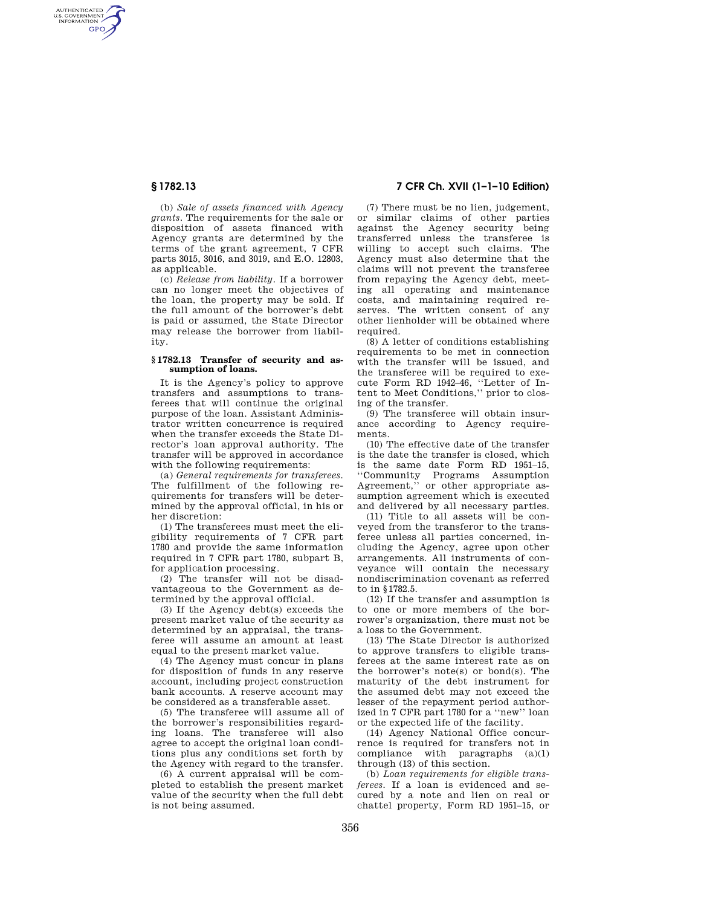AUTHENTICATED<br>U.S. GOVERNMENT<br>INFORMATION **GPO** 

> (b) *Sale of assets financed with Agency grants.* The requirements for the sale or disposition of assets financed with Agency grants are determined by the terms of the grant agreement, 7 CFR parts 3015, 3016, and 3019, and E.O. 12803, as applicable.

> (c) *Release from liability.* If a borrower can no longer meet the objectives of the loan, the property may be sold. If the full amount of the borrower's debt is paid or assumed, the State Director may release the borrower from liability.

#### **§ 1782.13 Transfer of security and assumption of loans.**

It is the Agency's policy to approve transfers and assumptions to transferees that will continue the original purpose of the loan. Assistant Administrator written concurrence is required when the transfer exceeds the State Director's loan approval authority. The transfer will be approved in accordance with the following requirements:

(a) *General requirements for transferees.*  The fulfillment of the following requirements for transfers will be determined by the approval official, in his or her discretion:

(1) The transferees must meet the eligibility requirements of 7 CFR part 1780 and provide the same information required in 7 CFR part 1780, subpart B, for application processing.

(2) The transfer will not be disadvantageous to the Government as determined by the approval official.

(3) If the Agency debt(s) exceeds the present market value of the security as determined by an appraisal, the transferee will assume an amount at least equal to the present market value.

(4) The Agency must concur in plans for disposition of funds in any reserve account, including project construction bank accounts. A reserve account may be considered as a transferable asset.

(5) The transferee will assume all of the borrower's responsibilities regarding loans. The transferee will also agree to accept the original loan conditions plus any conditions set forth by the Agency with regard to the transfer.

(6) A current appraisal will be completed to establish the present market value of the security when the full debt is not being assumed.

**§ 1782.13 7 CFR Ch. XVII (1–1–10 Edition)** 

(7) There must be no lien, judgement, or similar claims of other parties against the Agency security being transferred unless the transferee is willing to accept such claims. The Agency must also determine that the claims will not prevent the transferee from repaying the Agency debt, meeting all operating and maintenance costs, and maintaining required reserves. The written consent of any other lienholder will be obtained where required

(8) A letter of conditions establishing requirements to be met in connection with the transfer will be issued, and the transferee will be required to execute Form RD 1942–46, ''Letter of Intent to Meet Conditions,'' prior to closing of the transfer.

(9) The transferee will obtain insurance according to Agency requirements.

(10) The effective date of the transfer is the date the transfer is closed, which is the same date Form RD 1951–15, ''Community Programs Assumption Agreement,'' or other appropriate assumption agreement which is executed and delivered by all necessary parties.

(11) Title to all assets will be conveyed from the transferor to the transferee unless all parties concerned, including the Agency, agree upon other arrangements. All instruments of conveyance will contain the necessary nondiscrimination covenant as referred to in §1782.5.

(12) If the transfer and assumption is to one or more members of the borrower's organization, there must not be a loss to the Government.

(13) The State Director is authorized to approve transfers to eligible transferees at the same interest rate as on the borrower's note(s) or bond(s). The maturity of the debt instrument for the assumed debt may not exceed the lesser of the repayment period authorized in 7 CFR part 1780 for a ''new'' loan or the expected life of the facility.

(14) Agency National Office concurrence is required for transfers not in compliance with paragraphs  $(a)(1)$ through (13) of this section.

(b) *Loan requirements for eligible transferees.* If a loan is evidenced and secured by a note and lien on real or chattel property, Form RD 1951–15, or